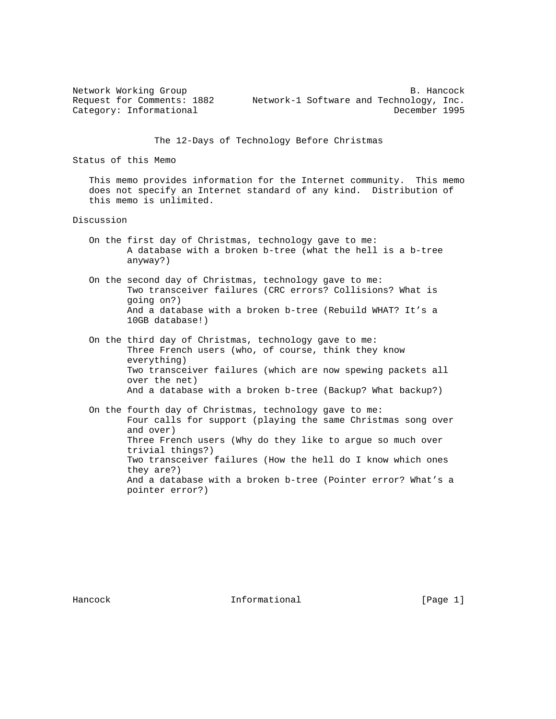Network Working Group B. Hancock Request for Comments: 1882 Network-1 Software and Technology, Inc. Category: Informational December 1995

The 12-Days of Technology Before Christmas

Status of this Memo

 This memo provides information for the Internet community. This memo does not specify an Internet standard of any kind. Distribution of this memo is unlimited.

Discussion

- On the first day of Christmas, technology gave to me: A database with a broken b-tree (what the hell is a b-tree anyway?)
- On the second day of Christmas, technology gave to me: Two transceiver failures (CRC errors? Collisions? What is going on?) And a database with a broken b-tree (Rebuild WHAT? It's a 10GB database!)
- On the third day of Christmas, technology gave to me: Three French users (who, of course, think they know everything) Two transceiver failures (which are now spewing packets all over the net) And a database with a broken b-tree (Backup? What backup?)
- On the fourth day of Christmas, technology gave to me: Four calls for support (playing the same Christmas song over and over) Three French users (Why do they like to argue so much over trivial things?) Two transceiver failures (How the hell do I know which ones they are?) And a database with a broken b-tree (Pointer error? What's a pointer error?)

Hancock **Informational Informational** [Page 1]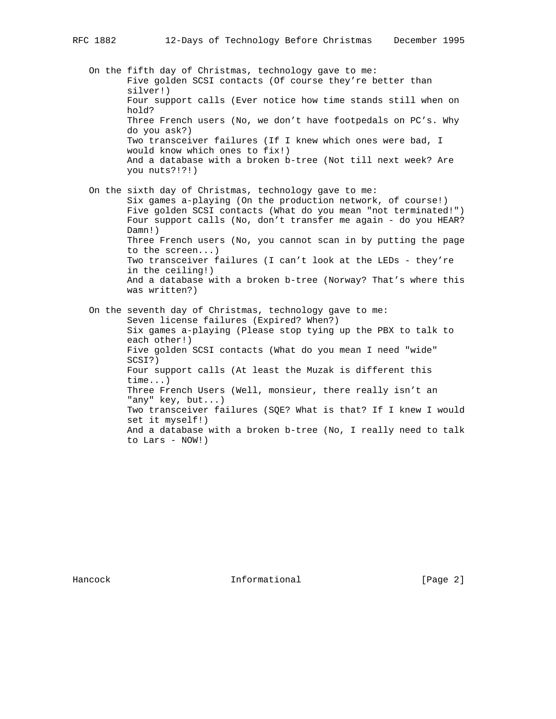to Lars - NOW!)

|  | On the fifth day of Christmas, technology gave to me:<br>Five golden SCSI contacts (Of course they're better than<br>silver!)<br>Four support calls (Ever notice how time stands still when on                                                                                                                                                                                                 |
|--|------------------------------------------------------------------------------------------------------------------------------------------------------------------------------------------------------------------------------------------------------------------------------------------------------------------------------------------------------------------------------------------------|
|  | hold?<br>Three French users (No, we don't have footpedals on PC's. Why<br>do you ask?)<br>Two transceiver failures (If I knew which ones were bad, I<br>would know which ones to fix!)                                                                                                                                                                                                         |
|  | And a database with a broken b-tree (Not till next week? Are<br>you nuts?!?!)                                                                                                                                                                                                                                                                                                                  |
|  | On the sixth day of Christmas, technology gave to me:<br>Six games a-playing (On the production network, of course!)<br>Five golden SCSI contacts (What do you mean "not terminated!")<br>Four support calls (No, don't transfer me again - do you HEAR?<br>$Damm!$ )                                                                                                                          |
|  | Three French users (No, you cannot scan in by putting the page<br>to the screen)<br>Two transceiver failures (I can't look at the LEDs - they're<br>in the ceiling!)<br>And a database with a broken b-tree (Norway? That's where this<br>was written?)                                                                                                                                        |
|  | On the seventh day of Christmas, technology gave to me:<br>Seven license failures (Expired? When?)<br>Six games a-playing (Please stop tying up the PBX to talk to<br>each other!)<br>Five golden SCSI contacts (What do you mean I need "wide"<br>SCSI?)<br>Four support calls (At least the Muzak is different this<br>$time$ )<br>Three French Users (Well, monsieur, there really isn't an |
|  | "any" key, but)<br>Two transceiver failures (SQE? What is that? If I knew I would<br>set it myself!)                                                                                                                                                                                                                                                                                           |

And a database with a broken b-tree (No, I really need to talk

Hancock Informational [Page 2]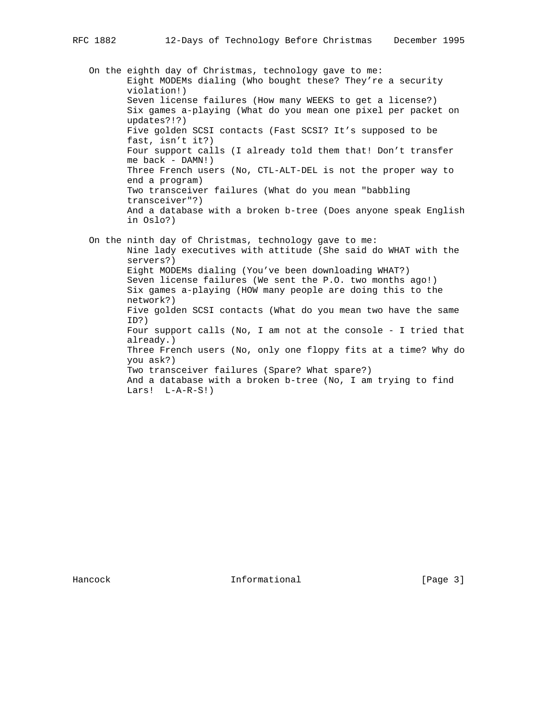On the eighth day of Christmas, technology gave to me: Eight MODEMs dialing (Who bought these? They're a security violation!) Seven license failures (How many WEEKS to get a license?) Six games a-playing (What do you mean one pixel per packet on updates?!?) Five golden SCSI contacts (Fast SCSI? It's supposed to be fast, isn't it?) Four support calls (I already told them that! Don't transfer me back - DAMN!) Three French users (No, CTL-ALT-DEL is not the proper way to end a program) Two transceiver failures (What do you mean "babbling transceiver"?) And a database with a broken b-tree (Does anyone speak English in Oslo?) On the ninth day of Christmas, technology gave to me:

 Nine lady executives with attitude (She said do WHAT with the servers?) Eight MODEMs dialing (You've been downloading WHAT?) Seven license failures (We sent the P.O. two months ago!) Six games a-playing (HOW many people are doing this to the network?) Five golden SCSI contacts (What do you mean two have the same ID?) Four support calls (No, I am not at the console - I tried that already.) Three French users (No, only one floppy fits at a time? Why do you ask?) Two transceiver failures (Spare? What spare?) And a database with a broken b-tree (No, I am trying to find Lars! L-A-R-S!)

Hancock **Informational Informational** [Page 3]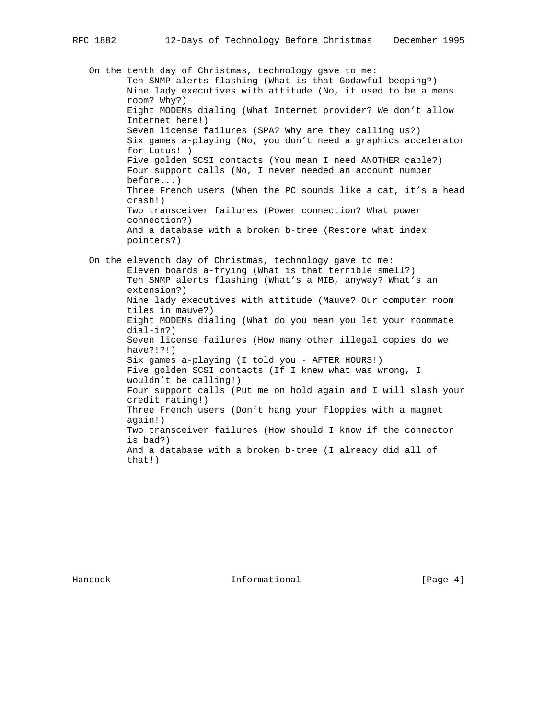On the tenth day of Christmas, technology gave to me: Ten SNMP alerts flashing (What is that Godawful beeping?) Nine lady executives with attitude (No, it used to be a mens room? Why?) Eight MODEMs dialing (What Internet provider? We don't allow Internet here!) Seven license failures (SPA? Why are they calling us?) Six games a-playing (No, you don't need a graphics accelerator for Lotus! ) Five golden SCSI contacts (You mean I need ANOTHER cable?) Four support calls (No, I never needed an account number before...) Three French users (When the PC sounds like a cat, it's a head crash!) Two transceiver failures (Power connection? What power connection?) And a database with a broken b-tree (Restore what index pointers?) On the eleventh day of Christmas, technology gave to me: Eleven boards a-frying (What is that terrible smell?) Ten SNMP alerts flashing (What's a MIB, anyway? What's an extension?) Nine lady executives with attitude (Mauve? Our computer room tiles in mauve?) Eight MODEMs dialing (What do you mean you let your roommate dial-in?) Seven license failures (How many other illegal copies do we have?!?!) Six games a-playing (I told you - AFTER HOURS!) Five golden SCSI contacts (If I knew what was wrong, I wouldn't be calling!) Four support calls (Put me on hold again and I will slash your credit rating!) Three French users (Don't hang your floppies with a magnet again!) Two transceiver failures (How should I know if the connector is bad?) And a database with a broken b-tree (I already did all of that!)

Hancock **Informational Informational** [Page 4]